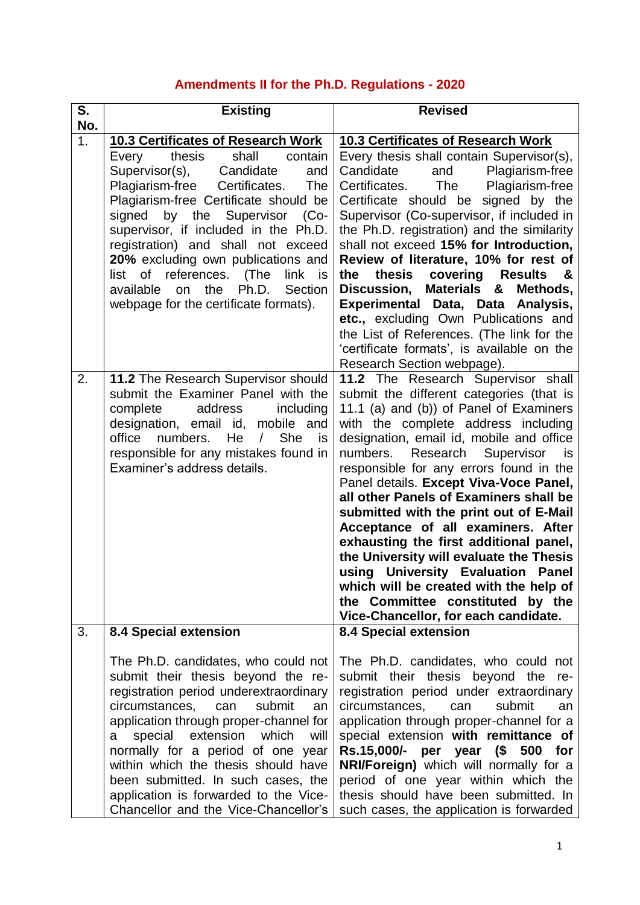# **Amendments II for the Ph.D. Regulations - 2020**

| S.<br>No.        | <b>Existing</b>                                                                                                                                                                                                                                                                                                                                                                                                                                                                                | <b>Revised</b>                                                                                                                                                                                                                                                                                                                                                                                                                                                                                                                                                                                                                                                                                                 |
|------------------|------------------------------------------------------------------------------------------------------------------------------------------------------------------------------------------------------------------------------------------------------------------------------------------------------------------------------------------------------------------------------------------------------------------------------------------------------------------------------------------------|----------------------------------------------------------------------------------------------------------------------------------------------------------------------------------------------------------------------------------------------------------------------------------------------------------------------------------------------------------------------------------------------------------------------------------------------------------------------------------------------------------------------------------------------------------------------------------------------------------------------------------------------------------------------------------------------------------------|
| $\overline{1}$ . | 10.3 Certificates of Research Work<br>shall<br>Every<br>thesis<br>contain<br>Supervisor(s),<br>Candidate<br>and<br>Plagiarism-free<br>Certificates.<br>The<br>Plagiarism-free Certificate should be<br>signed by the Supervisor<br>$(Co-$<br>supervisor, if included in the Ph.D.<br>registration) and shall not exceed<br>20% excluding own publications and<br>list of references.<br>(The<br>link is<br>the<br>Ph.D.<br>available<br>on<br>Section<br>webpage for the certificate formats). | <b>10.3 Certificates of Research Work</b><br>Every thesis shall contain Supervisor(s),<br>Candidate<br>Plagiarism-free<br>and<br>Plagiarism-free<br>Certificates.<br>The<br>Certificate should be signed by the<br>Supervisor (Co-supervisor, if included in<br>the Ph.D. registration) and the similarity<br>shall not exceed 15% for Introduction,<br>Review of literature, 10% for rest of<br>thesis<br>covering Results<br>the<br>8.<br>Discussion, Materials &<br>Methods,<br>Experimental Data, Data Analysis,<br>etc., excluding Own Publications and<br>the List of References. (The link for the<br>'certificate formats', is available on the<br>Research Section webpage).                          |
| 2.               | 11.2 The Research Supervisor should<br>submit the Examiner Panel with the<br>address<br>complete<br>including<br>designation, email id, mobile and<br>numbers.<br>He<br><b>She</b><br>office<br>$\sqrt{2}$<br>is<br>responsible for any mistakes found in<br>Examiner's address details.                                                                                                                                                                                                       | 11.2 The Research Supervisor shall<br>submit the different categories (that is<br>11.1 (a) and (b)) of Panel of Examiners<br>with the complete address including<br>designation, email id, mobile and office<br>numbers. Research Supervisor is<br>responsible for any errors found in the<br>Panel details. Except Viva-Voce Panel,<br>all other Panels of Examiners shall be<br>submitted with the print out of E-Mail<br>Acceptance of all examiners. After<br>exhausting the first additional panel,<br>the University will evaluate the Thesis<br>using University Evaluation Panel<br>which will be created with the help of<br>the Committee constituted by the<br>Vice-Chancellor, for each candidate. |
| 3.               | <b>8.4 Special extension</b><br>The Ph.D. candidates, who could not<br>submit their thesis beyond the re-<br>registration period underextraordinary<br>circumstances,<br>submit<br>can<br>an<br>application through proper-channel for<br>special extension which<br>will<br>a<br>normally for a period of one year<br>within which the thesis should have<br>been submitted. In such cases, the<br>application is forwarded to the Vice-<br>Chancellor and the Vice-Chancellor's              | <b>8.4 Special extension</b><br>The Ph.D. candidates, who could not<br>submit their thesis beyond the<br>re-<br>registration period under extraordinary<br>circumstances,<br>submit<br>can<br>an<br>application through proper-channel for a<br>special extension with remittance of<br>Rs.15,000/- per year (\$ 500 for<br>NRI/Foreign) which will normally for a<br>period of one year within which the<br>thesis should have been submitted. In<br>such cases, the application is forwarded                                                                                                                                                                                                                 |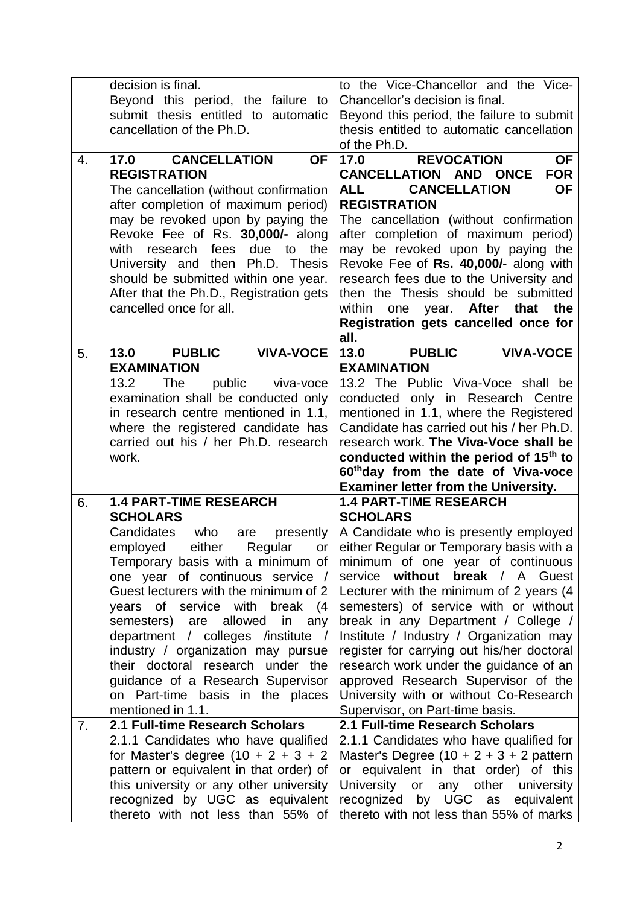|    | decision is final.                                                                | to the Vice-Chancellor and the Vice-                                                        |
|----|-----------------------------------------------------------------------------------|---------------------------------------------------------------------------------------------|
|    | Beyond this period, the failure to                                                | Chancellor's decision is final.                                                             |
|    | submit thesis entitled to automatic                                               | Beyond this period, the failure to submit                                                   |
|    | cancellation of the Ph.D.                                                         | thesis entitled to automatic cancellation<br>of the Ph.D.                                   |
| 4. | <b>CANCELLATION</b><br>17.0<br><b>OF</b>                                          | OF<br><b>REVOCATION</b><br>17.0                                                             |
|    | <b>REGISTRATION</b>                                                               | <b>FOR</b><br><b>CANCELLATION AND ONCE</b>                                                  |
|    | The cancellation (without confirmation                                            | <b>CANCELLATION</b><br><b>OF</b><br><b>ALL</b>                                              |
|    | after completion of maximum period)                                               | <b>REGISTRATION</b>                                                                         |
|    | may be revoked upon by paying the                                                 | The cancellation (without confirmation                                                      |
|    | Revoke Fee of Rs. 30,000/- along                                                  | after completion of maximum period)                                                         |
|    | due to<br>the<br>with<br>research fees                                            | may be revoked upon by paying the                                                           |
|    | University and then Ph.D. Thesis                                                  | Revoke Fee of Rs. 40,000/- along with                                                       |
|    | should be submitted within one year.                                              | research fees due to the University and                                                     |
|    | After that the Ph.D., Registration gets                                           | then the Thesis should be submitted                                                         |
|    | cancelled once for all.                                                           | After that<br>the<br>within<br>one<br>year.                                                 |
|    |                                                                                   | Registration gets cancelled once for                                                        |
|    |                                                                                   | all.                                                                                        |
| 5. | <b>PUBLIC</b><br>13.0<br><b>VIVA-VOCE</b>                                         | <b>PUBLIC</b><br>13.0<br><b>VIVA-VOCE</b>                                                   |
|    | <b>EXAMINATION</b>                                                                | <b>EXAMINATION</b>                                                                          |
|    | 13.2<br><b>The</b><br>public<br>viva-voce                                         | 13.2 The Public Viva-Voce shall be                                                          |
|    | examination shall be conducted only                                               | conducted only in Research Centre                                                           |
|    | in research centre mentioned in 1.1,                                              | mentioned in 1.1, where the Registered                                                      |
|    | where the registered candidate has                                                | Candidate has carried out his / her Ph.D.                                                   |
|    | carried out his / her Ph.D. research                                              | research work. The Viva-Voce shall be<br>conducted within the period of 15 <sup>th</sup> to |
|    | work.                                                                             |                                                                                             |
|    |                                                                                   |                                                                                             |
|    |                                                                                   | 60th day from the date of Viva-voce                                                         |
|    |                                                                                   | <b>Examiner letter from the University.</b>                                                 |
| 6. | <b>1.4 PART-TIME RESEARCH</b><br><b>SCHOLARS</b>                                  | <b>1.4 PART-TIME RESEARCH</b><br><b>SCHOLARS</b>                                            |
|    | Candidates<br>who<br>presently<br>are                                             | A Candidate who is presently employed                                                       |
|    | employed<br>either<br>Regular<br>or                                               | either Regular or Temporary basis with a                                                    |
|    | Temporary basis with a minimum of                                                 | minimum of one year of continuous                                                           |
|    | one year of continuous service /                                                  | service without<br><b>break</b> / A Guest                                                   |
|    | Guest lecturers with the minimum of 2                                             | Lecturer with the minimum of 2 years (4                                                     |
|    | years of service with<br>break (4                                                 | semesters) of service with or without                                                       |
|    | semesters) are allowed in any                                                     | break in any Department / College /                                                         |
|    | department / colleges /institute /                                                | Institute / Industry / Organization may                                                     |
|    | industry / organization may pursue                                                | register for carrying out his/her doctoral                                                  |
|    | their doctoral research under the                                                 | research work under the guidance of an                                                      |
|    | guidance of a Research Supervisor                                                 | approved Research Supervisor of the                                                         |
|    | on Part-time basis in the places                                                  | University with or without Co-Research                                                      |
|    | mentioned in 1.1.                                                                 | Supervisor, on Part-time basis.                                                             |
| 7. | 2.1 Full-time Research Scholars                                                   | 2.1 Full-time Research Scholars                                                             |
|    | 2.1.1 Candidates who have qualified                                               | 2.1.1 Candidates who have qualified for                                                     |
|    | for Master's degree $(10 + 2 + 3 + 2)$<br>pattern or equivalent in that order) of | Master's Degree $(10 + 2 + 3 + 2$ pattern<br>or equivalent in that order) of this           |
|    | this university or any other university                                           | University or any other<br>university                                                       |
|    | recognized by UGC as equivalent                                                   | recognized by UGC as equivalent                                                             |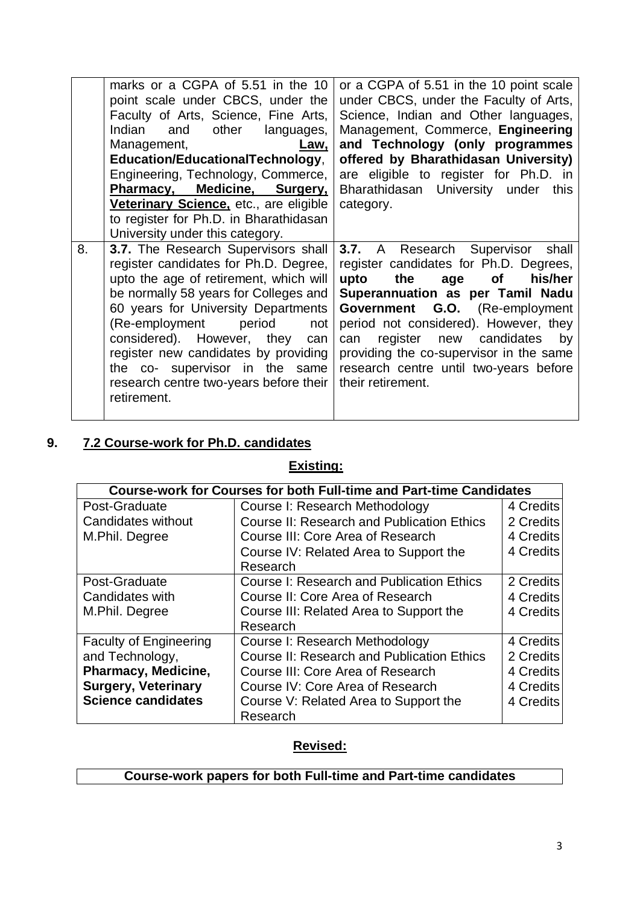|    | marks or a CGPA of 5.51 in the 10<br>point scale under CBCS, under the<br>Faculty of Arts, Science, Fine Arts,<br>Indian<br>and<br>other<br>languages,<br>Management,<br><u>Law.</u><br>Education/EducationalTechnology,<br>Engineering, Technology, Commerce,                                                                                                                                                    | or a CGPA of 5.51 in the 10 point scale<br>under CBCS, under the Faculty of Arts,<br>Science, Indian and Other languages,<br>Management, Commerce, Engineering<br>and Technology (only programmes<br>offered by Bharathidasan University)<br>are eligible to register for Ph.D. in                                                                                                          |
|----|-------------------------------------------------------------------------------------------------------------------------------------------------------------------------------------------------------------------------------------------------------------------------------------------------------------------------------------------------------------------------------------------------------------------|---------------------------------------------------------------------------------------------------------------------------------------------------------------------------------------------------------------------------------------------------------------------------------------------------------------------------------------------------------------------------------------------|
|    | Pharmacy, Medicine, Surgery,<br>Veterinary Science, etc., are eligible<br>to register for Ph.D. in Bharathidasan<br>University under this category.                                                                                                                                                                                                                                                               | Bharathidasan University under<br>this<br>category.                                                                                                                                                                                                                                                                                                                                         |
| 8. | 3.7. The Research Supervisors shall<br>register candidates for Ph.D. Degree,<br>upto the age of retirement, which will<br>be normally 58 years for Colleges and<br>60 years for University Departments<br>period<br>(Re-employment<br>not<br>considered). However, they<br>can<br>register new candidates by providing<br>the co- supervisor in the same<br>research centre two-years before their<br>retirement. | A Research Supervisor<br>3.7.<br>shall<br>register candidates for Ph.D. Degrees,<br>upto<br>the<br>his/her<br>age<br>of<br>Superannuation as per Tamil Nadu<br>Government G.O. (Re-employment<br>period not considered). However, they<br>new candidates<br>register<br>by<br>can<br>providing the co-supervisor in the same<br>research centre until two-years before<br>their retirement. |

### **9. 7.2 Course-work for Ph.D. candidates**

#### **Existing:**

|                               | <b>Course-work for Courses for both Full-time and Part-time Candidates</b> |           |
|-------------------------------|----------------------------------------------------------------------------|-----------|
| Post-Graduate                 | Course I: Research Methodology                                             | 4 Credits |
| Candidates without            | <b>Course II: Research and Publication Ethics</b>                          | 2 Credits |
| M.Phil. Degree                | Course III: Core Area of Research                                          | 4 Credits |
|                               | Course IV: Related Area to Support the                                     | 4 Credits |
|                               | Research                                                                   |           |
| Post-Graduate                 | <b>Course I: Research and Publication Ethics</b>                           | 2 Credits |
| Candidates with               | Course II: Core Area of Research                                           | 4 Credits |
| M.Phil. Degree                | Course III: Related Area to Support the                                    | 4 Credits |
|                               | Research                                                                   |           |
| <b>Faculty of Engineering</b> | Course I: Research Methodology                                             | 4 Credits |
| and Technology,               | <b>Course II: Research and Publication Ethics</b>                          | 2 Credits |
| <b>Pharmacy, Medicine,</b>    | Course III: Core Area of Research                                          | 4 Credits |
| <b>Surgery, Veterinary</b>    | Course IV: Core Area of Research                                           | 4 Credits |
| <b>Science candidates</b>     | Course V: Related Area to Support the                                      | 4 Credits |
|                               | Research                                                                   |           |

### **Revised:**

### **Course-work papers for both Full-time and Part-time candidates**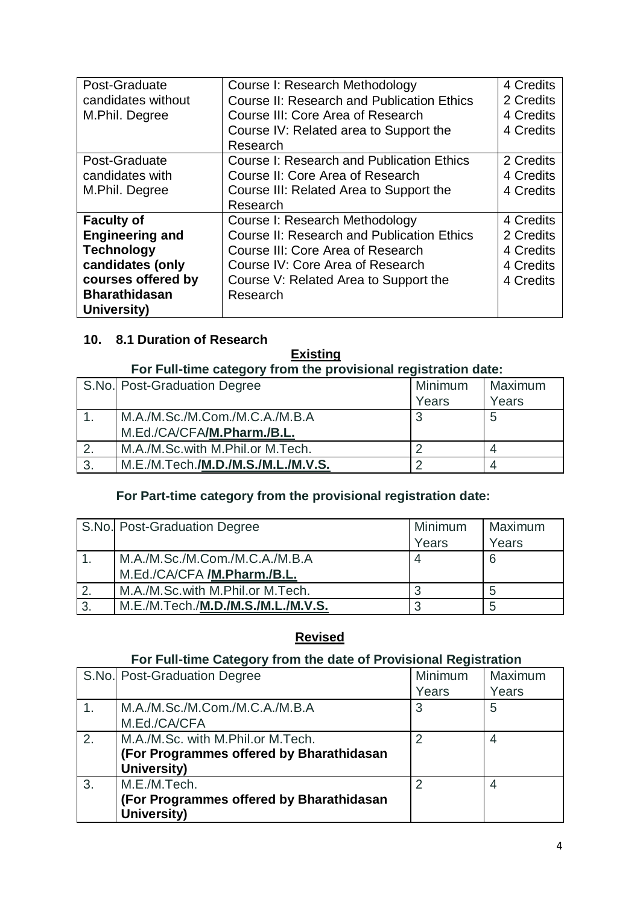| Post-Graduate          | Course I: Research Methodology                    | 4 Credits |
|------------------------|---------------------------------------------------|-----------|
| candidates without     | <b>Course II: Research and Publication Ethics</b> | 2 Credits |
|                        |                                                   |           |
| M.Phil. Degree         | Course III: Core Area of Research                 | 4 Credits |
|                        | Course IV: Related area to Support the            | 4 Credits |
|                        | Research                                          |           |
| Post-Graduate          | <b>Course I: Research and Publication Ethics</b>  | 2 Credits |
| candidates with        | Course II: Core Area of Research                  | 4 Credits |
| M.Phil. Degree         | Course III: Related Area to Support the           | 4 Credits |
|                        | Research                                          |           |
| <b>Faculty of</b>      | Course I: Research Methodology                    | 4 Credits |
| <b>Engineering and</b> | <b>Course II: Research and Publication Ethics</b> | 2 Credits |
| <b>Technology</b>      | Course III: Core Area of Research                 | 4 Credits |
| candidates (only       | Course IV: Core Area of Research                  | 4 Credits |
| courses offered by     | Course V: Related Area to Support the             | 4 Credits |
| <b>Bharathidasan</b>   | Research                                          |           |
| University)            |                                                   |           |

#### **10. 8.1 Duration of Research**

### **Existing**

#### **For Full-time category from the provisional registration date:**

|               | S.No. Post-Graduation Degree               | Minimum | Maximum |
|---------------|--------------------------------------------|---------|---------|
|               |                                            | Years   | Years   |
|               | M.A./M.Sc./M.Com./M.C.A./M.B.A             | 3       | 5       |
|               | M.Ed./CA/CFA/M.Pharm./B.L.                 |         |         |
| $\mathcal{P}$ | M.A./M.Sc.with M.Phil.or M.Tech.           |         |         |
| 3.            | M.E./M.Tech. <b>/M.D./M.S./M.L./M.V.S.</b> |         |         |

### **For Part-time category from the provisional registration date:**

|    | S.No. Post-Graduation Degree       | Minimum | Maximum |
|----|------------------------------------|---------|---------|
|    |                                    | Years   | Years   |
|    | M.A./M.Sc./M.Com./M.C.A./M.B.A     |         | 6       |
|    | M.Ed./CA/CFA /M.Pharm./B.L.        |         |         |
|    | M.A./M.Sc.with M.Phil.or M.Tech.   |         |         |
| 3. | M.E./M.Tech./M.D./M.S./M.L./M.V.S. |         |         |

#### **Revised**

### **For Full-time Category from the date of Provisional Registration**

|                | S.No. Post-Graduation Degree             | Minimum        | Maximum |
|----------------|------------------------------------------|----------------|---------|
|                |                                          | Years          | Years   |
| $\mathbf{1}$ . | M.A./M.Sc./M.Com./M.C.A./M.B.A           | 3              | 5       |
|                | M.Ed./CA/CFA                             |                |         |
| 2.             | M.A./M.Sc. with M.Phil.or M.Tech.        |                | 4       |
|                | (For Programmes offered by Bharathidasan |                |         |
|                | University)                              |                |         |
| 3.             | M.E./M.Tech.                             | $\overline{2}$ | 4       |
|                | (For Programmes offered by Bharathidasan |                |         |
|                | University)                              |                |         |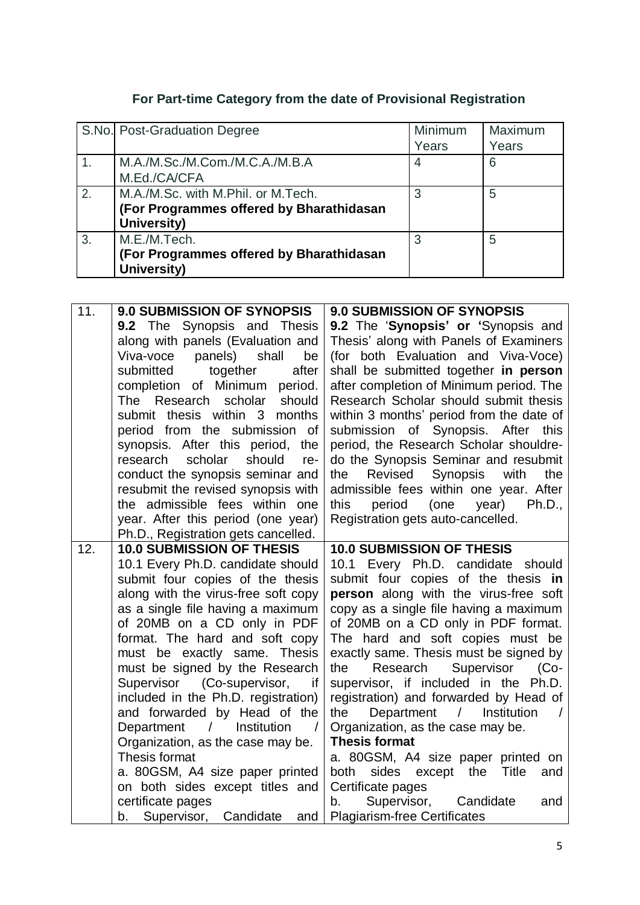## **For Part-time Category from the date of Provisional Registration**

|    | S.No. Post-Graduation Degree             | Minimum | Maximum |
|----|------------------------------------------|---------|---------|
|    |                                          | Years   | Years   |
|    | M.A./M.Sc./M.Com./M.C.A./M.B.A           |         | 6       |
|    | M.Ed./CA/CFA                             |         |         |
| 2. | M.A./M.Sc. with M.Phil. or M.Tech.       | 3       | 5       |
|    | (For Programmes offered by Bharathidasan |         |         |
|    | University)                              |         |         |
| 3. | M.E./M.Tech.                             | 3       | 5       |
|    | (For Programmes offered by Bharathidasan |         |         |
|    | University)                              |         |         |

| 11. | <b>9.0 SUBMISSION OF SYNOPSIS</b>                                            | <b>9.0 SUBMISSION OF SYNOPSIS</b>                                                          |
|-----|------------------------------------------------------------------------------|--------------------------------------------------------------------------------------------|
|     | <b>9.2</b> The Synopsis and Thesis                                           | 9.2 The 'Synopsis' or 'Synopsis and                                                        |
|     | along with panels (Evaluation and                                            | Thesis' along with Panels of Examiners                                                     |
|     | panels)<br>shall<br>Viva-voce<br>be                                          | (for both Evaluation and Viva-Voce)                                                        |
|     | submitted<br>together<br>after                                               | shall be submitted together in person                                                      |
|     | completion of Minimum<br>period.                                             | after completion of Minimum period. The                                                    |
|     | should<br>The Research scholar                                               | Research Scholar should submit thesis                                                      |
|     | submit thesis within 3 months                                                | within 3 months' period from the date of                                                   |
|     | period from the submission of                                                | submission of Synopsis. After<br>this                                                      |
|     | synopsis. After this period,<br>the                                          | period, the Research Scholar shouldre-                                                     |
|     | scholar<br>research<br>should<br>re-                                         | do the Synopsis Seminar and resubmit                                                       |
|     | conduct the synopsis seminar and<br>resubmit the revised synopsis with       | the<br>Revised<br><b>Synopsis</b><br>with<br>the<br>admissible fees within one year. After |
|     | the admissible fees within one                                               | this<br>period<br>(one<br>year)<br>Ph.D.,                                                  |
|     | year. After this period (one year)                                           | Registration gets auto-cancelled.                                                          |
|     | Ph.D., Registration gets cancelled.                                          |                                                                                            |
| 12. | <b>10.0 SUBMISSION OF THESIS</b>                                             | <b>10.0 SUBMISSION OF THESIS</b>                                                           |
|     | 10.1 Every Ph.D. candidate should                                            | 10.1 Every Ph.D. candidate<br>should                                                       |
|     | submit four copies of the thesis                                             | submit four copies of the thesis in                                                        |
|     | along with the virus-free soft copy                                          | person along with the virus-free soft                                                      |
|     | as a single file having a maximum                                            | copy as a single file having a maximum                                                     |
|     | of 20MB on a CD only in PDF                                                  | of 20MB on a CD only in PDF format.                                                        |
|     | format. The hard and soft copy                                               | The hard and soft copies must be                                                           |
|     | must be exactly same. Thesis                                                 | exactly same. Thesis must be signed by                                                     |
|     | must be signed by the Research                                               | Supervisor<br>the<br>Research<br>$(Co-$                                                    |
|     | Supervisor<br>(Co-supervisor,<br>if                                          | supervisor, if included in the Ph.D.                                                       |
|     | included in the Ph.D. registration)                                          | registration) and forwarded by Head of                                                     |
|     | and forwarded by Head of the<br>$\prime$                                     | Department<br>Institution<br>the<br>T                                                      |
|     | Department<br>Institution<br>$\sqrt{2}$<br>Organization, as the case may be. | Organization, as the case may be.<br><b>Thesis format</b>                                  |
|     | Thesis format                                                                | a. 80GSM, A4 size paper printed on                                                         |
|     | a. 80GSM, A4 size paper printed                                              | <b>Title</b><br>both<br>sides except the<br>and                                            |
|     | on both sides except titles and                                              | Certificate pages                                                                          |
|     | certificate pages                                                            | Supervisor,<br>Candidate<br>and<br>b.                                                      |
|     |                                                                              |                                                                                            |